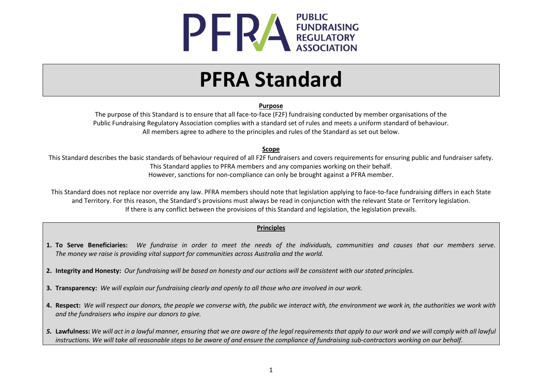

# **PFRA Standard**

#### **Purpose**

The purpose of this Standard is to ensure that all face-to-face (F2F) fundraising conducted by member organisations of the Public Fundraising Regulatory Association complies with a standard set of rules and meets a uniform standard of behaviour. All members agree to adhere to the principles and rules of the Standard as set out below.

#### **Scope**

This Standard describes the basic standards of behaviour required of all F2F fundraisers and covers requirements for ensuring public and fundraiser safety. This Standard applies to PFRA members and any companies working on their behalf. However, sanctions for non-compliance can only be brought against a PFRA member.

This Standard does not replace nor override any law. PFRA members should note that legislation applying to face-to-face fundraising differs in each State and Territory. For this reason, the Standard's provisions must always be read in conjunction with the relevant State or Territory legislation. If there is any conflict between the provisions of this Standard and legislation, the legislation prevails.

#### **Principles**

- **1. To Serve Beneficiaries:** *We fundraise in order to meet the needs of the individuals, communities and causes that our members serve. The money we raise is providing vital support for communities across Australia and the world.*
- **2. Integrity and Honesty:** *Our fundraising will be based on honesty and our actions will be consistent with our stated principles.*
- **3. Transparency:** *We will explain our fundraising clearly and openly to all those who are involved in our work.*
- **4. Respect:** *We will respect our donors, the people we converse with, the public we interact with, the environment we work in, the authorities we work with and the fundraisers who inspire our donors to give.*
- *5.* **Lawfulness:** *We will act in a lawful manner, ensuring that we are aware of the legal requirements that apply to our work and we will comply with all lawful instructions. We will take all reasonable steps to be aware of and ensure the compliance of fundraising sub-contractors working on our behalf.*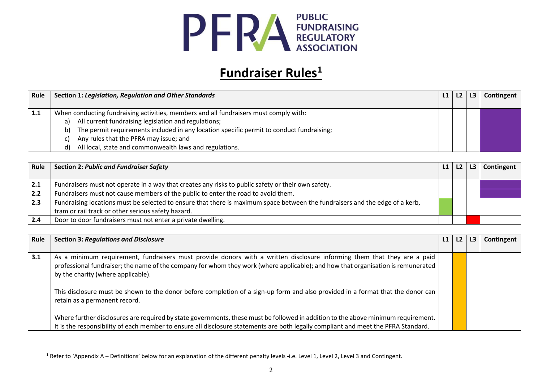

### **Fundraiser Rules<sup>1</sup>**

| Rule | <b>Section 1: Legislation, Regulation and Other Standards</b>                                  | $\lfloor 1 \rfloor$ | L2 | L <sub>3</sub> | Contingent |
|------|------------------------------------------------------------------------------------------------|---------------------|----|----------------|------------|
|      |                                                                                                |                     |    |                |            |
| 1.1  | When conducting fundraising activities, members and all fundraisers must comply with:          |                     |    |                |            |
|      | All current fundraising legislation and regulations;<br>a)                                     |                     |    |                |            |
|      | The permit requirements included in any location specific permit to conduct fundraising;<br>b) |                     |    |                |            |
|      | Any rules that the PFRA may issue; and                                                         |                     |    |                |            |
|      | All local, state and commonwealth laws and regulations.<br>d)                                  |                     |    |                |            |

| Rule | <b>Section 2: Public and Fundraiser Safety</b>                                                                               | L <sub>2</sub> | L3 | Contingent |
|------|------------------------------------------------------------------------------------------------------------------------------|----------------|----|------------|
|      |                                                                                                                              |                |    |            |
| 2.1  | Fundraisers must not operate in a way that creates any risks to public safety or their own safety.                           |                |    |            |
| 2.2  | Fundraisers must not cause members of the public to enter the road to avoid them.                                            |                |    |            |
| 2.3  | Fundraising locations must be selected to ensure that there is maximum space between the fundraisers and the edge of a kerb, |                |    |            |
|      | tram or rail track or other serious safety hazard.                                                                           |                |    |            |
| 2.4  | Door to door fundraisers must not enter a private dwelling.                                                                  |                |    |            |

| Rule | <b>Section 3: Regulations and Disclosure</b>                                                                                       | L1 | L2 | L <sub>3</sub> | Contingent |
|------|------------------------------------------------------------------------------------------------------------------------------------|----|----|----------------|------------|
|      |                                                                                                                                    |    |    |                |            |
| 3.1  | As a minimum requirement, fundraisers must provide donors with a written disclosure informing them that they are a paid            |    |    |                |            |
|      | professional fundraiser; the name of the company for whom they work (where applicable); and how that organisation is remunerated   |    |    |                |            |
|      | by the charity (where applicable).                                                                                                 |    |    |                |            |
|      |                                                                                                                                    |    |    |                |            |
|      | This disclosure must be shown to the donor before completion of a sign-up form and also provided in a format that the donor can    |    |    |                |            |
|      | retain as a permanent record.                                                                                                      |    |    |                |            |
|      |                                                                                                                                    |    |    |                |            |
|      | Where further disclosures are required by state governments, these must be followed in addition to the above minimum requirement.  |    |    |                |            |
|      | It is the responsibility of each member to ensure all disclosure statements are both legally compliant and meet the PFRA Standard. |    |    |                |            |

 $\overline{\phantom{a}}$ 

 $1$  Refer to 'Appendix A – Definitions' below for an explanation of the different penalty levels -i.e. Level 1, Level 2, Level 3 and Contingent.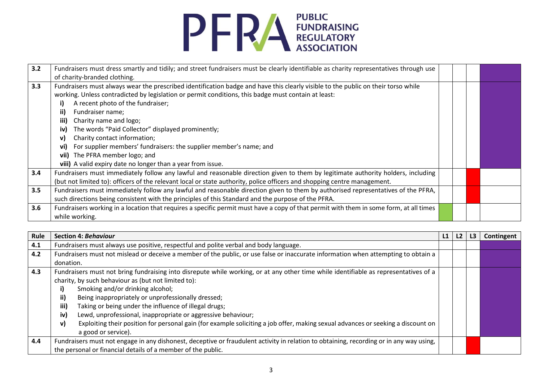

| 3.2 | Fundraisers must dress smartly and tidily; and street fundraisers must be clearly identifiable as charity representatives through use  |  |  |
|-----|----------------------------------------------------------------------------------------------------------------------------------------|--|--|
|     | of charity-branded clothing.                                                                                                           |  |  |
| 3.3 | Fundraisers must always wear the prescribed identification badge and have this clearly visible to the public on their torso while      |  |  |
|     | working. Unless contradicted by legislation or permit conditions, this badge must contain at least:                                    |  |  |
|     | A recent photo of the fundraiser;                                                                                                      |  |  |
|     | ii)<br>Fundraiser name;                                                                                                                |  |  |
|     | iii)<br>Charity name and logo;                                                                                                         |  |  |
|     | The words "Paid Collector" displayed prominently;<br>iv)                                                                               |  |  |
|     | Charity contact information;<br>v)                                                                                                     |  |  |
|     | For supplier members' fundraisers: the supplier member's name; and<br>vi)                                                              |  |  |
|     | vii) The PFRA member logo; and                                                                                                         |  |  |
|     | viii) A valid expiry date no longer than a year from issue.                                                                            |  |  |
| 3.4 | Fundraisers must immediately follow any lawful and reasonable direction given to them by legitimate authority holders, including       |  |  |
|     | (but not limited to): officers of the relevant local or state authority, police officers and shopping centre management.               |  |  |
| 3.5 | Fundraisers must immediately follow any lawful and reasonable direction given to them by authorised representatives of the PFRA,       |  |  |
|     | such directions being consistent with the principles of this Standard and the purpose of the PFRA.                                     |  |  |
| 3.6 | Fundraisers working in a location that requires a specific permit must have a copy of that permit with them in some form, at all times |  |  |
|     | while working.                                                                                                                         |  |  |

| Rule | <b>Section 4: Behaviour</b>                                                                                                                                                                                                                                                                                                                                                                                                                                                                                                                                                                                 | L1 | L2 | L3 | Contingent |
|------|-------------------------------------------------------------------------------------------------------------------------------------------------------------------------------------------------------------------------------------------------------------------------------------------------------------------------------------------------------------------------------------------------------------------------------------------------------------------------------------------------------------------------------------------------------------------------------------------------------------|----|----|----|------------|
| 4.1  | Fundraisers must always use positive, respectful and polite verbal and body language.                                                                                                                                                                                                                                                                                                                                                                                                                                                                                                                       |    |    |    |            |
| 4.2  | Fundraisers must not mislead or deceive a member of the public, or use false or inaccurate information when attempting to obtain a                                                                                                                                                                                                                                                                                                                                                                                                                                                                          |    |    |    |            |
|      | donation.                                                                                                                                                                                                                                                                                                                                                                                                                                                                                                                                                                                                   |    |    |    |            |
| 4.3  | Fundraisers must not bring fundraising into disrepute while working, or at any other time while identifiable as representatives of a<br>charity, by such behaviour as (but not limited to):<br>Smoking and/or drinking alcohol;<br>i)<br>ii)<br>Being inappropriately or unprofessionally dressed;<br>iii)<br>Taking or being under the influence of illegal drugs;<br>Lewd, unprofessional, inappropriate or aggressive behaviour;<br>iv)<br>Exploiting their position for personal gain (for example soliciting a job offer, making sexual advances or seeking a discount on<br>v)<br>a good or service). |    |    |    |            |
| 4.4  | Fundraisers must not engage in any dishonest, deceptive or fraudulent activity in relation to obtaining, recording or in any way using,<br>the personal or financial details of a member of the public.                                                                                                                                                                                                                                                                                                                                                                                                     |    |    |    |            |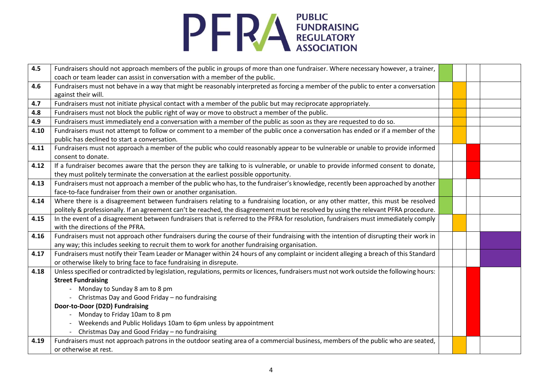

| 4.5  | Fundraisers should not approach members of the public in groups of more than one fundraiser. Where necessary however, a trainer,          |  |  |
|------|-------------------------------------------------------------------------------------------------------------------------------------------|--|--|
|      | coach or team leader can assist in conversation with a member of the public.                                                              |  |  |
| 4.6  | Fundraisers must not behave in a way that might be reasonably interpreted as forcing a member of the public to enter a conversation       |  |  |
|      | against their will.                                                                                                                       |  |  |
| 4.7  | Fundraisers must not initiate physical contact with a member of the public but may reciprocate appropriately.                             |  |  |
| 4.8  | Fundraisers must not block the public right of way or move to obstruct a member of the public.                                            |  |  |
| 4.9  | Fundraisers must immediately end a conversation with a member of the public as soon as they are requested to do so.                       |  |  |
| 4.10 | Fundraisers must not attempt to follow or comment to a member of the public once a conversation has ended or if a member of the           |  |  |
|      | public has declined to start a conversation.                                                                                              |  |  |
| 4.11 | Fundraisers must not approach a member of the public who could reasonably appear to be vulnerable or unable to provide informed           |  |  |
|      | consent to donate.                                                                                                                        |  |  |
| 4.12 | If a fundraiser becomes aware that the person they are talking to is vulnerable, or unable to provide informed consent to donate,         |  |  |
|      | they must politely terminate the conversation at the earliest possible opportunity.                                                       |  |  |
| 4.13 | Fundraisers must not approach a member of the public who has, to the fundraiser's knowledge, recently been approached by another          |  |  |
|      | face-to-face fundraiser from their own or another organisation.                                                                           |  |  |
| 4.14 | Where there is a disagreement between fundraisers relating to a fundraising location, or any other matter, this must be resolved          |  |  |
|      | politely & professionally. If an agreement can't be reached, the disagreement must be resolved by using the relevant PFRA procedure.      |  |  |
| 4.15 | In the event of a disagreement between fundraisers that is referred to the PFRA for resolution, fundraisers must immediately comply       |  |  |
|      | with the directions of the PFRA.                                                                                                          |  |  |
| 4.16 | Fundraisers must not approach other fundraisers during the course of their fundraising with the intention of disrupting their work in     |  |  |
|      | any way; this includes seeking to recruit them to work for another fundraising organisation.                                              |  |  |
| 4.17 | Fundraisers must notify their Team Leader or Manager within 24 hours of any complaint or incident alleging a breach of this Standard      |  |  |
|      | or otherwise likely to bring face to face fundraising in disrepute.                                                                       |  |  |
| 4.18 | Unless specified or contradicted by legislation, regulations, permits or licences, fundraisers must not work outside the following hours: |  |  |
|      | <b>Street Fundraising</b>                                                                                                                 |  |  |
|      | Monday to Sunday 8 am to 8 pm                                                                                                             |  |  |
|      | Christmas Day and Good Friday - no fundraising                                                                                            |  |  |
|      | Door-to-Door (D2D) Fundraising                                                                                                            |  |  |
|      | Monday to Friday 10am to 8 pm                                                                                                             |  |  |
|      | Weekends and Public Holidays 10am to 6pm unless by appointment                                                                            |  |  |
|      | - Christmas Day and Good Friday - no fundraising                                                                                          |  |  |
| 4.19 | Fundraisers must not approach patrons in the outdoor seating area of a commercial business, members of the public who are seated,         |  |  |
|      | or otherwise at rest.                                                                                                                     |  |  |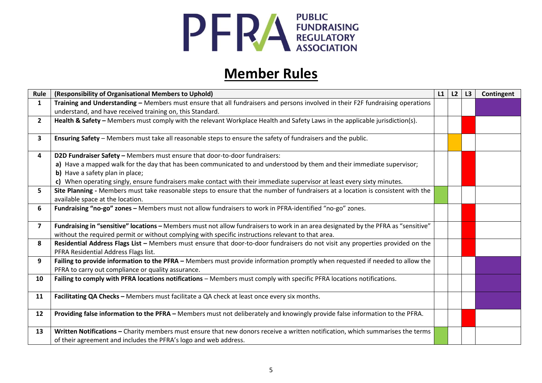

## **Member Rules**

| Rule           | (Responsibility of Organisational Members to Uphold)                                                                               | L1 | L2 | L3 | Contingent |
|----------------|------------------------------------------------------------------------------------------------------------------------------------|----|----|----|------------|
| $\mathbf{1}$   | Training and Understanding - Members must ensure that all fundraisers and persons involved in their F2F fundraising operations     |    |    |    |            |
|                | understand, and have received training on, this Standard.                                                                          |    |    |    |            |
| $\mathbf{2}$   | Health & Safety - Members must comply with the relevant Workplace Health and Safety Laws in the applicable jurisdiction(s).        |    |    |    |            |
|                |                                                                                                                                    |    |    |    |            |
| 3              | Ensuring Safety - Members must take all reasonable steps to ensure the safety of fundraisers and the public.                       |    |    |    |            |
| 4              | D2D Fundraiser Safety - Members must ensure that door-to-door fundraisers:                                                         |    |    |    |            |
|                | a) Have a mapped walk for the day that has been communicated to and understood by them and their immediate supervisor;             |    |    |    |            |
|                | b) Have a safety plan in place;                                                                                                    |    |    |    |            |
|                | c) When operating singly, ensure fundraisers make contact with their immediate supervisor at least every sixty minutes.            |    |    |    |            |
| 5              | Site Planning - Members must take reasonable steps to ensure that the number of fundraisers at a location is consistent with the   |    |    |    |            |
|                | available space at the location.                                                                                                   |    |    |    |            |
| 6              | Fundraising "no-go" zones - Members must not allow fundraisers to work in PFRA-identified "no-go" zones.                           |    |    |    |            |
|                |                                                                                                                                    |    |    |    |            |
| $\overline{7}$ | Fundraising in "sensitive" locations - Members must not allow fundraisers to work in an area designated by the PFRA as "sensitive" |    |    |    |            |
|                | without the required permit or without complying with specific instructions relevant to that area.                                 |    |    |    |            |
| 8              | Residential Address Flags List - Members must ensure that door-to-door fundraisers do not visit any properties provided on the     |    |    |    |            |
|                | PFRA Residential Address Flags list.                                                                                               |    |    |    |            |
| 9              | Failing to provide information to the PFRA - Members must provide information promptly when requested if needed to allow the       |    |    |    |            |
|                | PFRA to carry out compliance or quality assurance.                                                                                 |    |    |    |            |
| 10             | Failing to comply with PFRA locations notifications - Members must comply with specific PFRA locations notifications.              |    |    |    |            |
| 11             | Facilitating QA Checks - Members must facilitate a QA check at least once every six months.                                        |    |    |    |            |
|                |                                                                                                                                    |    |    |    |            |
| 12             | Providing false information to the PFRA - Members must not deliberately and knowingly provide false information to the PFRA.       |    |    |    |            |
|                |                                                                                                                                    |    |    |    |            |
| 13             | Written Notifications - Charity members must ensure that new donors receive a written notification, which summarises the terms     |    |    |    |            |
|                | of their agreement and includes the PFRA's logo and web address.                                                                   |    |    |    |            |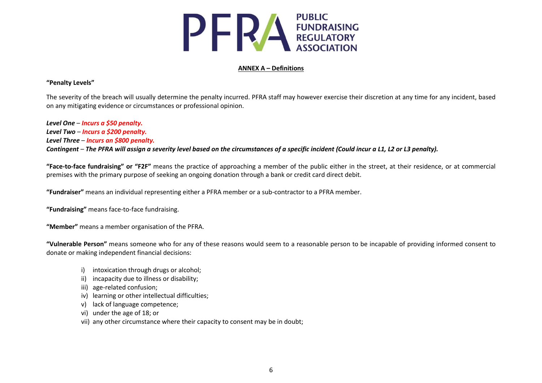

#### **ANNEX A – Definitions**

#### **"Penalty Levels"**

The severity of the breach will usually determine the penalty incurred. PFRA staff may however exercise their discretion at any time for any incident, based on any mitigating evidence or circumstances or professional opinion.

*Level One* – *Incurs a \$50 penalty. Level Two* – *Incurs a \$200 penalty. Level Three* – *Incurs an \$800 penalty. Contingent* – *The PFRA will assign a severity level based on the circumstances of a specific incident (Could incur a L1, L2 or L3 penalty).*

**"Face-to-face fundraising" or "F2F"** means the practice of approaching a member of the public either in the street, at their residence, or at commercial premises with the primary purpose of seeking an ongoing donation through a bank or credit card direct debit.

**"Fundraiser"** means an individual representing either a PFRA member or a sub-contractor to a PFRA member.

**"Fundraising"** means face-to-face fundraising.

**"Member"** means a member organisation of the PFRA.

**"Vulnerable Person"** means someone who for any of these reasons would seem to a reasonable person to be incapable of providing informed consent to donate or making independent financial decisions:

- i) intoxication through drugs or alcohol;
- ii) incapacity due to illness or disability;
- iii) age-related confusion;
- iv) learning or other intellectual difficulties;
- v) lack of language competence;
- vi) under the age of 18; or
- vii) any other circumstance where their capacity to consent may be in doubt;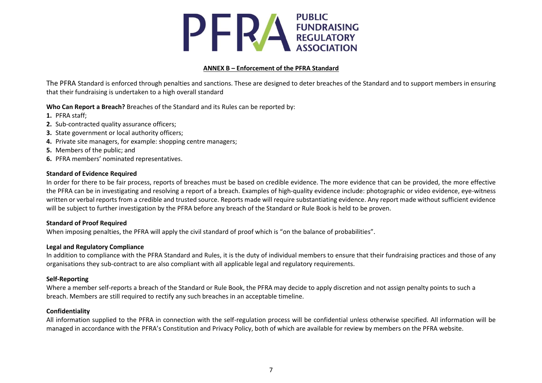

#### **ANNEX B – Enforcement of the PFRA Standard**

The PFRA Standard is enforced through penalties and sanctions. These are designed to deter breaches of the Standard and to support members in ensuring that their fundraising is undertaken to a high overall standard

#### **Who Can Report a Breach?** Breaches of the Standard and its Rules can be reported by:

- **1.** PFRA staff;
- **2.** Sub-contracted quality assurance officers;
- **3.** State government or local authority officers;
- **4.** Private site managers, for example: shopping centre managers;
- **5.** Members of the public; and
- **6.** PFRA members' nominated representatives.

#### **Standard of Evidence Required**

In order for there to be fair process, reports of breaches must be based on credible evidence. The more evidence that can be provided, the more effective the PFRA can be in investigating and resolving a report of a breach. Examples of high-quality evidence include: photographic or video evidence, eye-witness written or verbal reports from a credible and trusted source. Reports made will require substantiating evidence. Any report made without sufficient evidence will be subject to further investigation by the PFRA before any breach of the Standard or Rule Book is held to be proven.

#### **Standard of Proof Required**

When imposing penalties, the PFRA will apply the civil standard of proof which is "on the balance of probabilities".

#### **Legal and Regulatory Compliance**

In addition to compliance with the PFRA Standard and Rules, it is the duty of individual members to ensure that their fundraising practices and those of any organisations they sub-contract to are also compliant with all applicable legal and regulatory requirements.

#### **Self-Reporting**

Where a member self-reports a breach of the Standard or Rule Book, the PFRA may decide to apply discretion and not assign penalty points to such a breach. Members are still required to rectify any such breaches in an acceptable timeline.

#### **Confidentiality**

All information supplied to the PFRA in connection with the self-regulation process will be confidential unless otherwise specified. All information will be managed in accordance with the PFRA's Constitution and Privacy Policy, both of which are available for review by members on the PFRA website.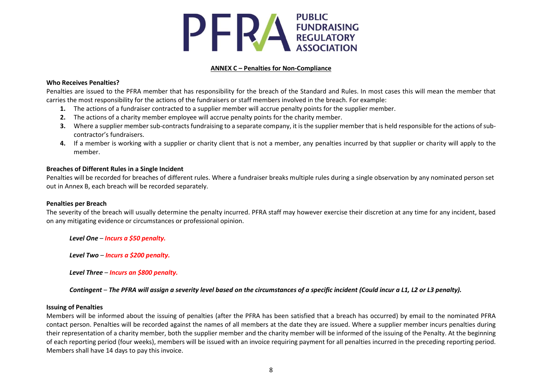

#### **ANNEX C – Penalties for Non-Compliance**

#### **Who Receives Penalties?**

Penalties are issued to the PFRA member that has responsibility for the breach of the Standard and Rules. In most cases this will mean the member that carries the most responsibility for the actions of the fundraisers or staff members involved in the breach. For example:

- **1.** The actions of a fundraiser contracted to a supplier member will accrue penalty points for the supplier member.
- **2.** The actions of a charity member employee will accrue penalty points for the charity member.
- **3.** Where a supplier member sub-contracts fundraising to a separate company, it is the supplier member that is held responsible for the actions of subcontractor's fundraisers.
- **4.** If a member is working with a supplier or charity client that is not a member, any penalties incurred by that supplier or charity will apply to the member.

#### **Breaches of Different Rules in a Single Incident**

Penalties will be recorded for breaches of different rules. Where a fundraiser breaks multiple rules during a single observation by any nominated person set out in Annex B, each breach will be recorded separately.

#### **Penalties per Breach**

The severity of the breach will usually determine the penalty incurred. PFRA staff may however exercise their discretion at any time for any incident, based on any mitigating evidence or circumstances or professional opinion.

*Level One* – *Incurs a \$50 penalty.*

*Level Two* – *Incurs a \$200 penalty.*

*Level Three* – *Incurs an \$800 penalty.*

#### *Contingent* – *The PFRA will assign a severity level based on the circumstances of a specific incident (Could incur a L1, L2 or L3 penalty).*

#### **Issuing of Penalties**

Members will be informed about the issuing of penalties (after the PFRA has been satisfied that a breach has occurred) by email to the nominated PFRA contact person. Penalties will be recorded against the names of all members at the date they are issued. Where a supplier member incurs penalties during their representation of a charity member, both the supplier member and the charity member will be informed of the issuing of the Penalty. At the beginning of each reporting period (four weeks), members will be issued with an invoice requiring payment for all penalties incurred in the preceding reporting period. Members shall have 14 days to pay this invoice.